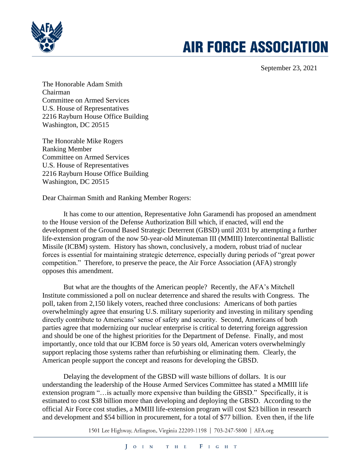

## **AIR FORCE ASSOCIATION**

September 23, 2021

The Honorable Adam Smith Chairman Committee on Armed Services U.S. House of Representatives 2216 Rayburn House Office Building Washington, DC 20515

The Honorable Mike Rogers Ranking Member Committee on Armed Services U.S. House of Representatives 2216 Rayburn House Office Building Washington, DC 20515

Dear Chairman Smith and Ranking Member Rogers:

It has come to our attention, Representative John Garamendi has proposed an amendment to the House version of the Defense Authorization Bill which, if enacted, will end the development of the Ground Based Strategic Deterrent (GBSD) until 2031 by attempting a further life-extension program of the now 50-year-old Minuteman III (MMIII) Intercontinental Ballistic Missile (ICBM) system. History has shown, conclusively, a modern, robust triad of nuclear forces is essential for maintaining strategic deterrence, especially during periods of "great power competition." Therefore, to preserve the peace, the Air Force Association (AFA) strongly opposes this amendment.

But what are the thoughts of the American people? Recently, the AFA's Mitchell Institute commissioned a poll on nuclear deterrence and shared the results with Congress. The poll, taken from 2,150 likely voters, reached three conclusions: Americans of both parties overwhelmingly agree that ensuring U.S. military superiority and investing in military spending directly contribute to Americans' sense of safety and security. Second, Americans of both parties agree that modernizing our nuclear enterprise is critical to deterring foreign aggression and should be one of the highest priorities for the Department of Defense. Finally, and most importantly, once told that our ICBM force is 50 years old, American voters overwhelmingly support replacing those systems rather than refurbishing or eliminating them. Clearly, the American people support the concept and reasons for developing the GBSD.

Delaying the development of the GBSD will waste billions of dollars. It is our understanding the leadership of the House Armed Services Committee has stated a MMIII life extension program "…is actually more expensive than building the GBSD." Specifically, it is estimated to cost \$38 billion more than developing and deploying the GBSD. According to the official Air Force cost studies, a MMIII life-extension program will cost \$23 billion in research and development and \$54 billion in procurement, for a total of \$77 billion. Even then, if the life

1501 Lee Highway, Arlington, Virginia 22209-1198 | 703-247-5800 | AFA.org